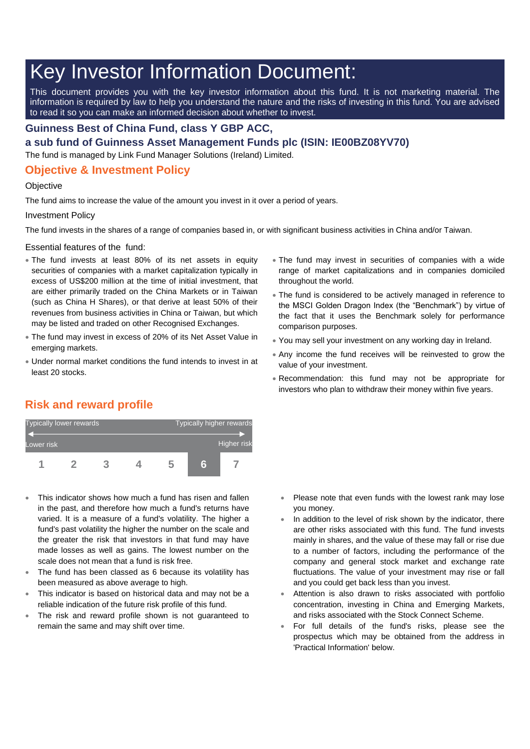# Key Investor Information Document:

This document provides you with the key investor information about this fund. It is not marketing material. The information is required by law to help you understand the nature and the risks of investing in this fund. You are advised to read it so you can make an informed decision about whether to invest.

### **Guinness Best of China Fund, class Y GBP ACC,**

**a sub fund of Guinness Asset Management Funds plc (ISIN: IE00BZ08YV70)**

The fund is managed by Link Fund Manager Solutions (Ireland) Limited.

## **Objective & Investment Policy**

#### **Objective**

The fund aims to increase the value of the amount you invest in it over a period of years.

#### Investment Policy

The fund invests in the shares of a range of companies based in, or with significant business activities in China and/or Taiwan.

Essential features of the fund:

- The fund invests at least 80% of its net assets in equity securities of companies with a market capitalization typically in excess of US\$200 million at the time of initial investment, that are either primarily traded on the China Markets or in Taiwan (such as China H Shares), or that derive at least 50% of their revenues from business activities in China or Taiwan, but which may be listed and traded on other Recognised Exchanges.
- The fund may invest in excess of 20% of its Net Asset Value in emerging markets.
- Under normal market conditions the fund intends to invest in at least 20 stocks.
- The fund may invest in securities of companies with a wide range of market capitalizations and in companies domiciled throughout the world.
- The fund is considered to be actively managed in reference to the MSCI Golden Dragon Index (the "Benchmark") by virtue of the fact that it uses the Benchmark solely for performance comparison purposes.
- You may sell your investment on any working day in Ireland.
- Any income the fund receives will be reinvested to grow the value of your investment.
- Recommendation: this fund may not be appropriate for investors who plan to withdraw their money within five years.

# **Risk and reward profile**



- This indicator shows how much a fund has risen and fallen in the past, and therefore how much a fund's returns have varied. It is a measure of a fund's volatility. The higher a fund's past volatility the higher the number on the scale and the greater the risk that investors in that fund may have made losses as well as gains. The lowest number on the scale does not mean that a fund is risk free.
- The fund has been classed as 6 because its volatility has been measured as above average to high.
- This indicator is based on historical data and may not be a reliable indication of the future risk profile of this fund.
- The risk and reward profile shown is not guaranteed to remain the same and may shift over time.
- Please note that even funds with the lowest rank may lose you money.
- In addition to the level of risk shown by the indicator, there are other risks associated with this fund. The fund invests mainly in shares, and the value of these may fall or rise due to a number of factors, including the performance of the company and general stock market and exchange rate fluctuations. The value of your investment may rise or fall and you could get back less than you invest.
- Attention is also drawn to risks associated with portfolio concentration, investing in China and Emerging Markets, and risks associated with the Stock Connect Scheme.
- For full details of the fund's risks, please see the prospectus which may be obtained from the address in 'Practical Information' below.